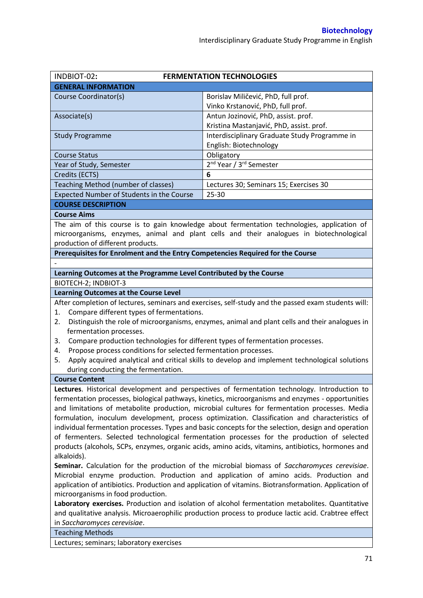| INDBIOT-02:                                                                                                                                 | <b>FERMENTATION TECHNOLOGIES</b>                                                                    |  |  |  |  |
|---------------------------------------------------------------------------------------------------------------------------------------------|-----------------------------------------------------------------------------------------------------|--|--|--|--|
| <b>GENERAL INFORMATION</b>                                                                                                                  |                                                                                                     |  |  |  |  |
| Course Coordinator(s)                                                                                                                       | Borislav Miličević, PhD, full prof.                                                                 |  |  |  |  |
|                                                                                                                                             | Vinko Krstanović, PhD, full prof.                                                                   |  |  |  |  |
| Associate(s)                                                                                                                                | Antun Jozinović, PhD, assist. prof.                                                                 |  |  |  |  |
|                                                                                                                                             | Kristina Mastanjavić, PhD, assist. prof.                                                            |  |  |  |  |
| <b>Study Programme</b>                                                                                                                      | Interdisciplinary Graduate Study Programme in                                                       |  |  |  |  |
|                                                                                                                                             | English: Biotechnology                                                                              |  |  |  |  |
| <b>Course Status</b>                                                                                                                        | Obligatory                                                                                          |  |  |  |  |
| Year of Study, Semester                                                                                                                     | 2 <sup>nd</sup> Year / 3 <sup>rd</sup> Semester                                                     |  |  |  |  |
| Credits (ECTS)                                                                                                                              | 6                                                                                                   |  |  |  |  |
| Teaching Method (number of classes)                                                                                                         | Lectures 30; Seminars 15; Exercises 30                                                              |  |  |  |  |
| Expected Number of Students in the Course                                                                                                   | 25-30                                                                                               |  |  |  |  |
| <b>COURSE DESCRIPTION</b>                                                                                                                   |                                                                                                     |  |  |  |  |
| <b>Course Aims</b>                                                                                                                          |                                                                                                     |  |  |  |  |
|                                                                                                                                             | The aim of this course is to gain knowledge about fermentation technologies, application of         |  |  |  |  |
|                                                                                                                                             | microorganisms, enzymes, animal and plant cells and their analogues in biotechnological             |  |  |  |  |
| production of different products.                                                                                                           |                                                                                                     |  |  |  |  |
| Prerequisites for Enrolment and the Entry Competencies Required for the Course                                                              |                                                                                                     |  |  |  |  |
|                                                                                                                                             |                                                                                                     |  |  |  |  |
| Learning Outcomes at the Programme Level Contributed by the Course                                                                          |                                                                                                     |  |  |  |  |
| BIOTECH-2; INDBIOT-3                                                                                                                        |                                                                                                     |  |  |  |  |
| <b>Learning Outcomes at the Course Level</b>                                                                                                |                                                                                                     |  |  |  |  |
| Compare different types of fermentations.<br>1.                                                                                             | After completion of lectures, seminars and exercises, self-study and the passed exam students will: |  |  |  |  |
| 2.                                                                                                                                          |                                                                                                     |  |  |  |  |
| Distinguish the role of microorganisms, enzymes, animal and plant cells and their analogues in<br>fermentation processes.                   |                                                                                                     |  |  |  |  |
| Compare production technologies for different types of fermentation processes.<br>3.                                                        |                                                                                                     |  |  |  |  |
| Propose process conditions for selected fermentation processes.<br>4.                                                                       |                                                                                                     |  |  |  |  |
| 5.                                                                                                                                          | Apply acquired analytical and critical skills to develop and implement technological solutions      |  |  |  |  |
| during conducting the fermentation.                                                                                                         |                                                                                                     |  |  |  |  |
| <b>Course Content</b>                                                                                                                       |                                                                                                     |  |  |  |  |
|                                                                                                                                             | Lectures. Historical development and perspectives of fermentation technology. Introduction to       |  |  |  |  |
|                                                                                                                                             | fermentation processes, biological pathways, kinetics, microorganisms and enzymes - opportunities   |  |  |  |  |
| and limitations of metabolite production, microbial cultures for fermentation processes. Media                                              |                                                                                                     |  |  |  |  |
| formulation, inoculum development, process optimization. Classification and characteristics of                                              |                                                                                                     |  |  |  |  |
| individual fermentation processes. Types and basic concepts for the selection, design and operation                                         |                                                                                                     |  |  |  |  |
| of fermenters. Selected technological fermentation processes for the production of selected                                                 |                                                                                                     |  |  |  |  |
| products (alcohols, SCPs, enzymes, organic acids, amino acids, vitamins, antibiotics, hormones and                                          |                                                                                                     |  |  |  |  |
| alkaloids).                                                                                                                                 |                                                                                                     |  |  |  |  |
| Seminar. Calculation for the production of the microbial biomass of Saccharomyces cerevisiae.                                               |                                                                                                     |  |  |  |  |
| Microbial enzyme production. Production and application of amino acids. Production and                                                      |                                                                                                     |  |  |  |  |
| application of antibiotics. Production and application of vitamins. Biotransformation. Application of<br>microorganisms in food production. |                                                                                                     |  |  |  |  |
| Laboratory exercises. Production and isolation of alcohol fermentation metabolites. Quantitative                                            |                                                                                                     |  |  |  |  |
| and qualitative analysis. Microaerophilic production process to produce lactic acid. Crabtree effect                                        |                                                                                                     |  |  |  |  |
| in Saccharomyces cerevisiae.                                                                                                                |                                                                                                     |  |  |  |  |
| <b>Teaching Methods</b>                                                                                                                     |                                                                                                     |  |  |  |  |
| Lectures; seminars; laboratory exercises                                                                                                    |                                                                                                     |  |  |  |  |
|                                                                                                                                             |                                                                                                     |  |  |  |  |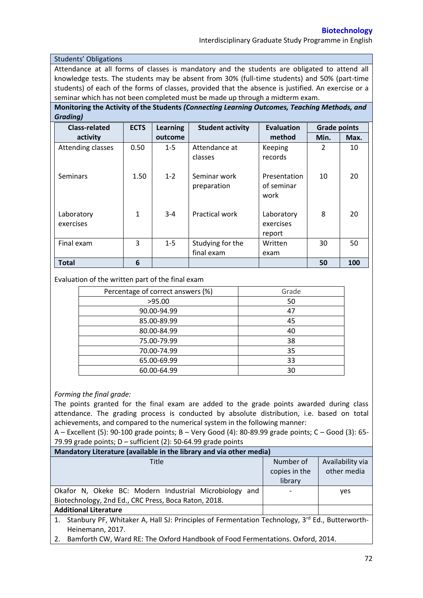Interdisciplinary Graduate Study Programme in English

## Students' Obligations

Attendance at all forms of classes is mandatory and the students are obligated to attend all knowledge tests. The students may be absent from 30% (full-time students) and 50% (part-time students) of each of the forms of classes, provided that the absence is justified. An exercise or a seminar which has not been completed must be made up through a midterm exam.

**Monitoring the Activity of the Students** *(Connecting Learning Outcomes, Teaching Methods, and Grading)*

| <b>Class-related</b>    | <b>ECTS</b> | <b>Learning</b> | <b>Student activity</b>        | <b>Evaluation</b>                  | <b>Grade points</b> |      |
|-------------------------|-------------|-----------------|--------------------------------|------------------------------------|---------------------|------|
| activity                |             | outcome         |                                | method                             | Min.                | Max. |
| Attending classes       | 0.50        | $1 - 5$         | Attendance at<br>classes       | Keeping<br>records                 | $\mathcal{L}$       | 10   |
| Seminars                | 1.50        | $1 - 2$         | Seminar work<br>preparation    | Presentation<br>of seminar<br>work | 10                  | 20   |
| Laboratory<br>exercises | 1           | $3 - 4$         | <b>Practical work</b>          | Laboratory<br>exercises<br>report  | 8                   | 20   |
| Final exam              | 3           | $1 - 5$         | Studying for the<br>final exam | Written<br>exam                    | 30                  | 50   |
| <b>Total</b>            | 6           |                 |                                |                                    | 50                  | 100  |

## Evaluation of the written part of the final exam

| Percentage of correct answers (%) | Grade |
|-----------------------------------|-------|
| >95.00                            | 50    |
| 90.00-94.99                       | 47    |
| 85.00-89.99                       | 45    |
| 80.00-84.99                       | 40    |
| 75.00-79.99                       | 38    |
| 70.00-74.99                       | 35    |
| 65.00-69.99                       | 33    |
| 60.00-64.99                       | 30    |

## *Forming the final grade:*

The points granted for the final exam are added to the grade points awarded during class attendance. The grading process is conducted by absolute distribution, i.e. based on total achievements, and compared to the numerical system in the following manner:

A – Excellent (5): 90-100 grade points; B – Very Good (4): 80-89.99 grade points; C – Good (3): 65- 79.99 grade points; D – sufficient (2): 50-64.99 grade points

| Mandatory Literature (available in the library and via other media)                                           |               |                  |  |  |  |  |
|---------------------------------------------------------------------------------------------------------------|---------------|------------------|--|--|--|--|
| Title                                                                                                         | Number of     | Availability via |  |  |  |  |
|                                                                                                               | copies in the | other media      |  |  |  |  |
|                                                                                                               | library       |                  |  |  |  |  |
| Okafor N, Okeke BC: Modern Industrial Microbiology and                                                        |               | yes              |  |  |  |  |
| Biotechnology, 2nd Ed., CRC Press, Boca Raton, 2018.                                                          |               |                  |  |  |  |  |
| <b>Additional Literature</b>                                                                                  |               |                  |  |  |  |  |
| 1. Stanbury PF, Whitaker A, Hall SJ: Principles of Fermentation Technology, 3 <sup>rd</sup> Ed., Butterworth- |               |                  |  |  |  |  |
| Heinemann, 2017.                                                                                              |               |                  |  |  |  |  |
| Bamforth CW, Ward RE: The Oxford Handbook of Food Fermentations. Oxford, 2014.<br>2.                          |               |                  |  |  |  |  |